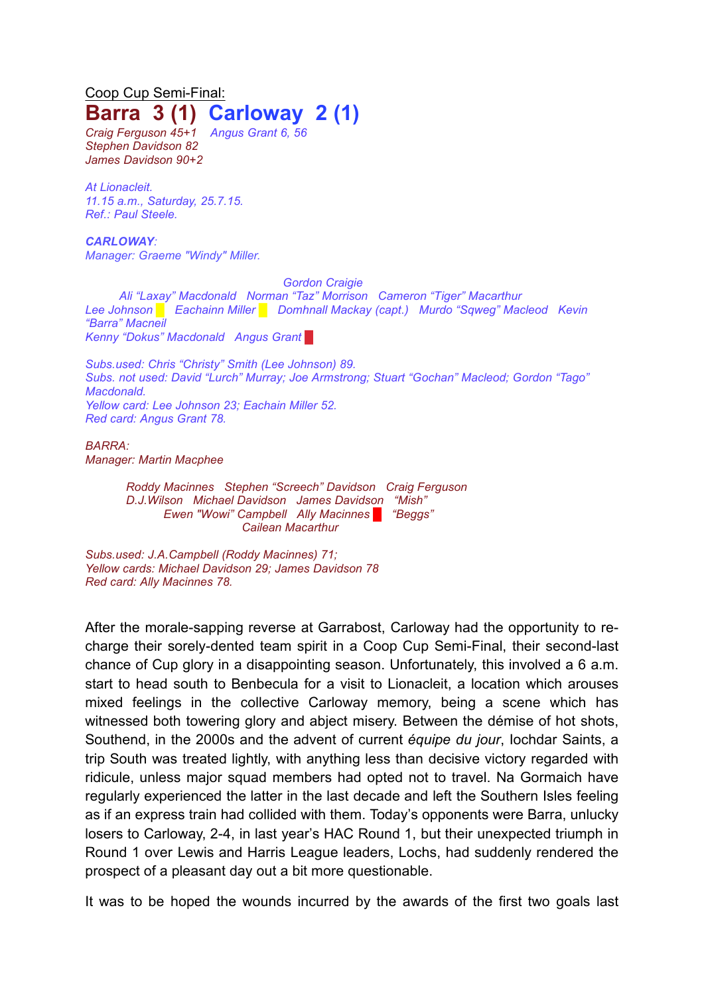## Coop Cup Semi-Final: **Barra 3 (1) Carloway 2 (1)**

*Craig Ferguson 45+1 Angus Grant 6, 56 Stephen Davidson 82 James Davidson 90+2*

*At Lionacleit. 11.15 a.m., Saturday, 25.7.15. Ref.: Paul Steele.*

*CARLOWAY: Manager: Graeme "Windy" Miller.*

*Gordon Craigie*

*Ali "Laxay" Macdonald Norman "Taz" Morrison Cameron "Tiger" Macarthur Lee Johnson █ Eachainn Miller █ Domhnall Mackay (capt.) Murdo "Sqweg" Macleod Kevin "Barra" Macneil Kenny "Dokus" Macdonald Angus Grant* █

*Subs.used: Chris "Christy" Smith (Lee Johnson) 89. Subs. not used: David "Lurch" Murray; Joe Armstrong; Stuart "Gochan" Macleod; Gordon "Tago" Macdonald. Yellow card: Lee Johnson 23; Eachain Miller 52. Red card: Angus Grant 78.*

*BARRA: Manager: Martin Macphee*

> *Roddy Macinnes Stephen "Screech" Davidson Craig Ferguson D.J.Wilson Michael Davidson James Davidson "Mish" Ewen "Wowi" Campbell Ally Macinnes █ "Beggs" Cailean Macarthur*

*Subs.used: J.A.Campbell (Roddy Macinnes) 71; Yellow cards: Michael Davidson 29; James Davidson 78 Red card: Ally Macinnes 78.*

After the morale-sapping reverse at Garrabost, Carloway had the opportunity to recharge their sorely-dented team spirit in a Coop Cup Semi-Final, their second-last chance of Cup glory in a disappointing season. Unfortunately, this involved a 6 a.m. start to head south to Benbecula for a visit to Lionacleit, a location which arouses mixed feelings in the collective Carloway memory, being a scene which has witnessed both towering glory and abject misery. Between the démise of hot shots, Southend, in the 2000s and the advent of current *équipe du jour*, Iochdar Saints, a trip South was treated lightly, with anything less than decisive victory regarded with ridicule, unless major squad members had opted not to travel. Na Gormaich have regularly experienced the latter in the last decade and left the Southern Isles feeling as if an express train had collided with them. Today's opponents were Barra, unlucky losers to Carloway, 2-4, in last year's HAC Round 1, but their unexpected triumph in Round 1 over Lewis and Harris League leaders, Lochs, had suddenly rendered the prospect of a pleasant day out a bit more questionable.

It was to be hoped the wounds incurred by the awards of the first two goals last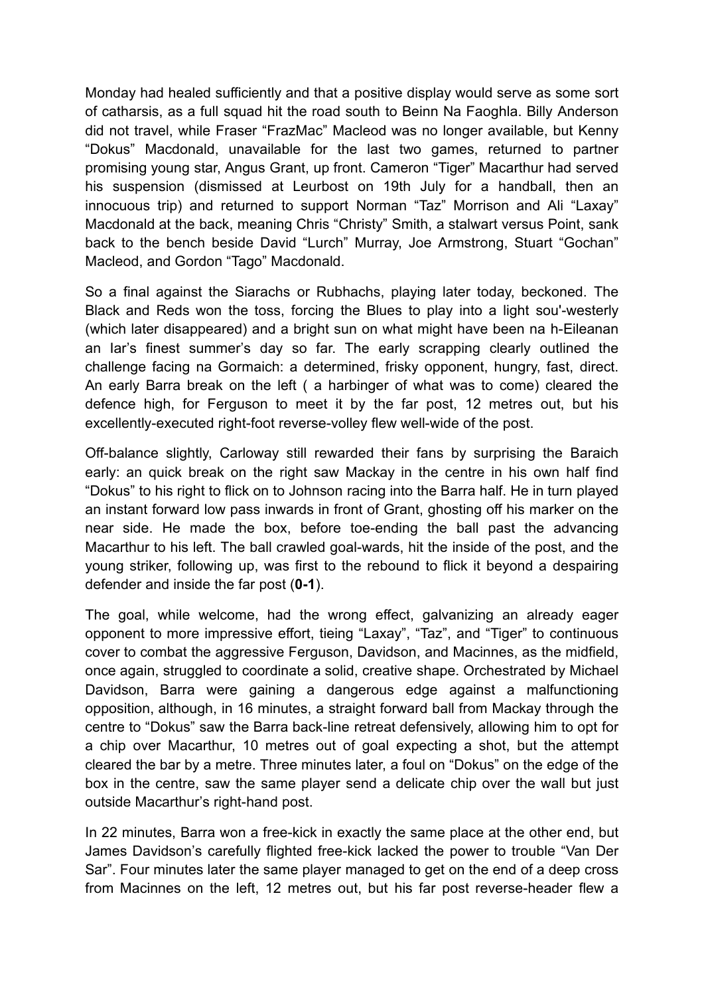Monday had healed sufficiently and that a positive display would serve as some sort of catharsis, as a full squad hit the road south to Beinn Na Faoghla. Billy Anderson did not travel, while Fraser "FrazMac" Macleod was no longer available, but Kenny "Dokus" Macdonald, unavailable for the last two games, returned to partner promising young star, Angus Grant, up front. Cameron "Tiger" Macarthur had served his suspension (dismissed at Leurbost on 19th July for a handball, then an innocuous trip) and returned to support Norman "Taz" Morrison and Ali "Laxay" Macdonald at the back, meaning Chris "Christy" Smith, a stalwart versus Point, sank back to the bench beside David "Lurch" Murray, Joe Armstrong, Stuart "Gochan" Macleod, and Gordon "Tago" Macdonald.

So a final against the Siarachs or Rubhachs, playing later today, beckoned. The Black and Reds won the toss, forcing the Blues to play into a light sou'-westerly (which later disappeared) and a bright sun on what might have been na h-Eileanan an Iar's finest summer's day so far. The early scrapping clearly outlined the challenge facing na Gormaich: a determined, frisky opponent, hungry, fast, direct. An early Barra break on the left ( a harbinger of what was to come) cleared the defence high, for Ferguson to meet it by the far post, 12 metres out, but his excellently-executed right-foot reverse-volley flew well-wide of the post.

Off-balance slightly, Carloway still rewarded their fans by surprising the Baraich early: an quick break on the right saw Mackay in the centre in his own half find "Dokus" to his right to flick on to Johnson racing into the Barra half. He in turn played an instant forward low pass inwards in front of Grant, ghosting off his marker on the near side. He made the box, before toe-ending the ball past the advancing Macarthur to his left. The ball crawled goal-wards, hit the inside of the post, and the young striker, following up, was first to the rebound to flick it beyond a despairing defender and inside the far post (**0-1**).

The goal, while welcome, had the wrong effect, galvanizing an already eager opponent to more impressive effort, tieing "Laxay", "Taz", and "Tiger" to continuous cover to combat the aggressive Ferguson, Davidson, and Macinnes, as the midfield, once again, struggled to coordinate a solid, creative shape. Orchestrated by Michael Davidson, Barra were gaining a dangerous edge against a malfunctioning opposition, although, in 16 minutes, a straight forward ball from Mackay through the centre to "Dokus" saw the Barra back-line retreat defensively, allowing him to opt for a chip over Macarthur, 10 metres out of goal expecting a shot, but the attempt cleared the bar by a metre. Three minutes later, a foul on "Dokus" on the edge of the box in the centre, saw the same player send a delicate chip over the wall but just outside Macarthur's right-hand post.

In 22 minutes, Barra won a free-kick in exactly the same place at the other end, but James Davidson's carefully flighted free-kick lacked the power to trouble "Van Der Sar". Four minutes later the same player managed to get on the end of a deep cross from Macinnes on the left, 12 metres out, but his far post reverse-header flew a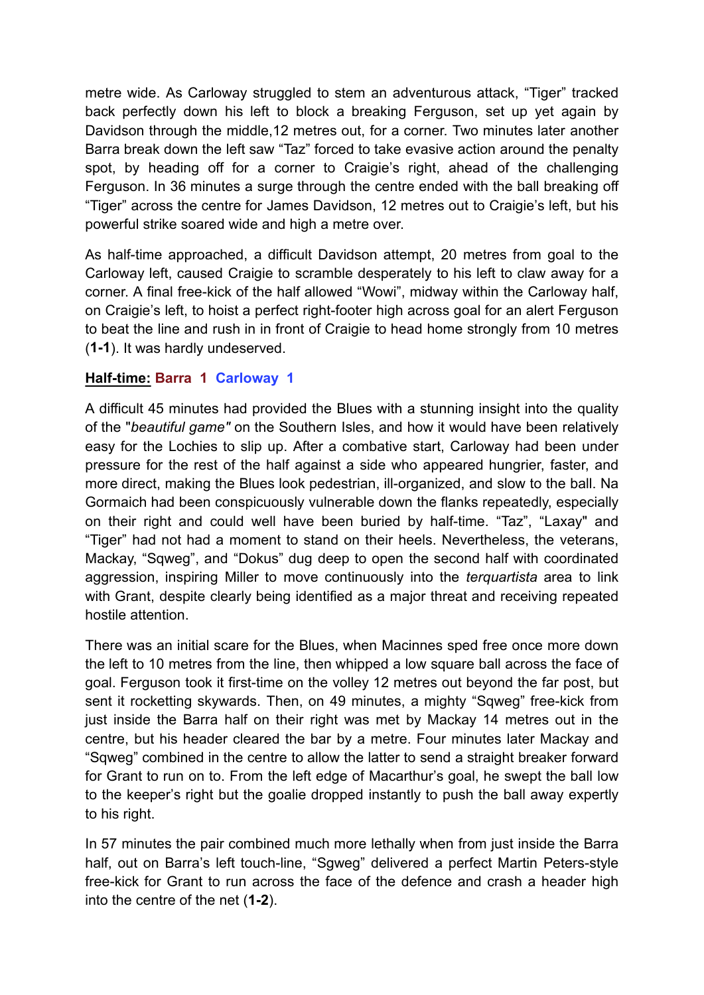metre wide. As Carloway struggled to stem an adventurous attack, "Tiger" tracked back perfectly down his left to block a breaking Ferguson, set up yet again by Davidson through the middle,12 metres out, for a corner. Two minutes later another Barra break down the left saw "Taz" forced to take evasive action around the penalty spot, by heading off for a corner to Craigie's right, ahead of the challenging Ferguson. In 36 minutes a surge through the centre ended with the ball breaking off "Tiger" across the centre for James Davidson, 12 metres out to Craigie's left, but his powerful strike soared wide and high a metre over.

As half-time approached, a difficult Davidson attempt, 20 metres from goal to the Carloway left, caused Craigie to scramble desperately to his left to claw away for a corner. A final free-kick of the half allowed "Wowi", midway within the Carloway half, on Craigie's left, to hoist a perfect right-footer high across goal for an alert Ferguson to beat the line and rush in in front of Craigie to head home strongly from 10 metres (**1-1**). It was hardly undeserved.

## **Half-time: Barra 1 Carloway 1**

A difficult 45 minutes had provided the Blues with a stunning insight into the quality of the "*beautiful game"* on the Southern Isles, and how it would have been relatively easy for the Lochies to slip up. After a combative start, Carloway had been under pressure for the rest of the half against a side who appeared hungrier, faster, and more direct, making the Blues look pedestrian, ill-organized, and slow to the ball. Na Gormaich had been conspicuously vulnerable down the flanks repeatedly, especially on their right and could well have been buried by half-time. "Taz", "Laxay" and "Tiger" had not had a moment to stand on their heels. Nevertheless, the veterans, Mackay, "Sqweg", and "Dokus" dug deep to open the second half with coordinated aggression, inspiring Miller to move continuously into the *terquartista* area to link with Grant, despite clearly being identified as a major threat and receiving repeated hostile attention.

There was an initial scare for the Blues, when Macinnes sped free once more down the left to 10 metres from the line, then whipped a low square ball across the face of goal. Ferguson took it first-time on the volley 12 metres out beyond the far post, but sent it rocketting skywards. Then, on 49 minutes, a mighty "Sqweg" free-kick from just inside the Barra half on their right was met by Mackay 14 metres out in the centre, but his header cleared the bar by a metre. Four minutes later Mackay and "Sqweg" combined in the centre to allow the latter to send a straight breaker forward for Grant to run on to. From the left edge of Macarthur's goal, he swept the ball low to the keeper's right but the goalie dropped instantly to push the ball away expertly to his right.

In 57 minutes the pair combined much more lethally when from just inside the Barra half, out on Barra's left touch-line, "Sgweg" delivered a perfect Martin Peters-style free-kick for Grant to run across the face of the defence and crash a header high into the centre of the net (**1-2**).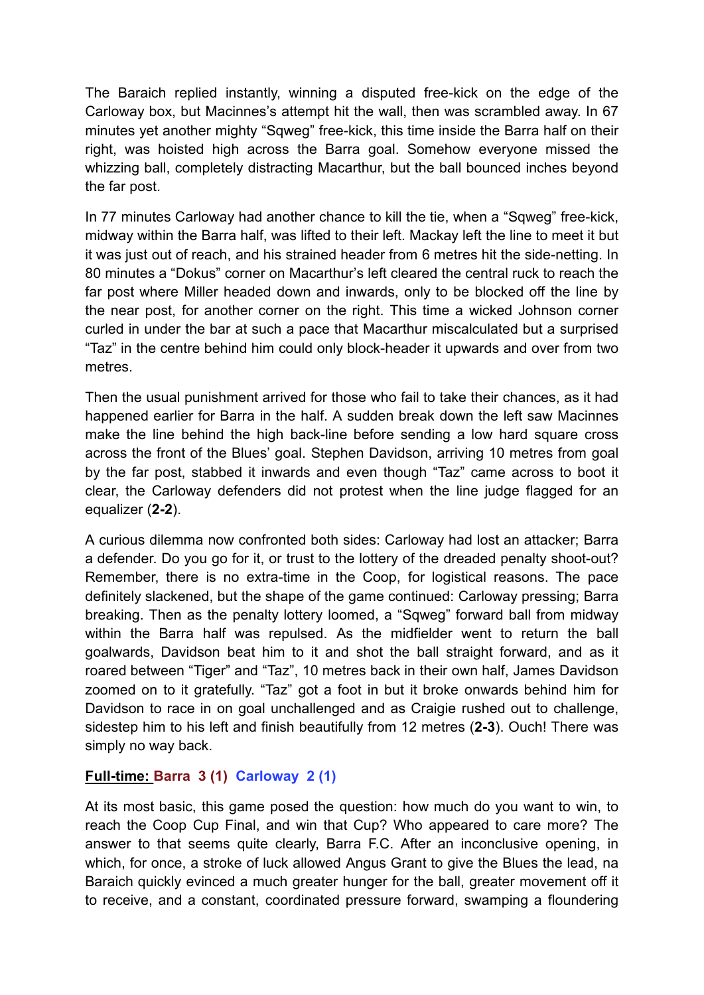The Baraich replied instantly, winning a disputed free-kick on the edge of the Carloway box, but Macinnes's attempt hit the wall, then was scrambled away. In 67 minutes yet another mighty "Sqweg" free-kick, this time inside the Barra half on their right, was hoisted high across the Barra goal. Somehow everyone missed the whizzing ball, completely distracting Macarthur, but the ball bounced inches beyond the far post.

In 77 minutes Carloway had another chance to kill the tie, when a "Sqweg" free-kick, midway within the Barra half, was lifted to their left. Mackay left the line to meet it but it was just out of reach, and his strained header from 6 metres hit the side-netting. In 80 minutes a "Dokus" corner on Macarthur's left cleared the central ruck to reach the far post where Miller headed down and inwards, only to be blocked off the line by the near post, for another corner on the right. This time a wicked Johnson corner curled in under the bar at such a pace that Macarthur miscalculated but a surprised "Taz" in the centre behind him could only block-header it upwards and over from two metres.

Then the usual punishment arrived for those who fail to take their chances, as it had happened earlier for Barra in the half. A sudden break down the left saw Macinnes make the line behind the high back-line before sending a low hard square cross across the front of the Blues' goal. Stephen Davidson, arriving 10 metres from goal by the far post, stabbed it inwards and even though "Taz" came across to boot it clear, the Carloway defenders did not protest when the line judge flagged for an equalizer (**2-2**).

A curious dilemma now confronted both sides: Carloway had lost an attacker; Barra a defender. Do you go for it, or trust to the lottery of the dreaded penalty shoot-out? Remember, there is no extra-time in the Coop, for logistical reasons. The pace definitely slackened, but the shape of the game continued: Carloway pressing; Barra breaking. Then as the penalty lottery loomed, a "Sqweg" forward ball from midway within the Barra half was repulsed. As the midfielder went to return the ball goalwards, Davidson beat him to it and shot the ball straight forward, and as it roared between "Tiger" and "Taz", 10 metres back in their own half, James Davidson zoomed on to it gratefully. "Taz" got a foot in but it broke onwards behind him for Davidson to race in on goal unchallenged and as Craigie rushed out to challenge, sidestep him to his left and finish beautifully from 12 metres (**2-3**). Ouch! There was simply no way back.

## **Full-time: Barra 3 (1) Carloway 2 (1)**

At its most basic, this game posed the question: how much do you want to win, to reach the Coop Cup Final, and win that Cup? Who appeared to care more? The answer to that seems quite clearly, Barra F.C. After an inconclusive opening, in which, for once, a stroke of luck allowed Angus Grant to give the Blues the lead, na Baraich quickly evinced a much greater hunger for the ball, greater movement off it to receive, and a constant, coordinated pressure forward, swamping a floundering